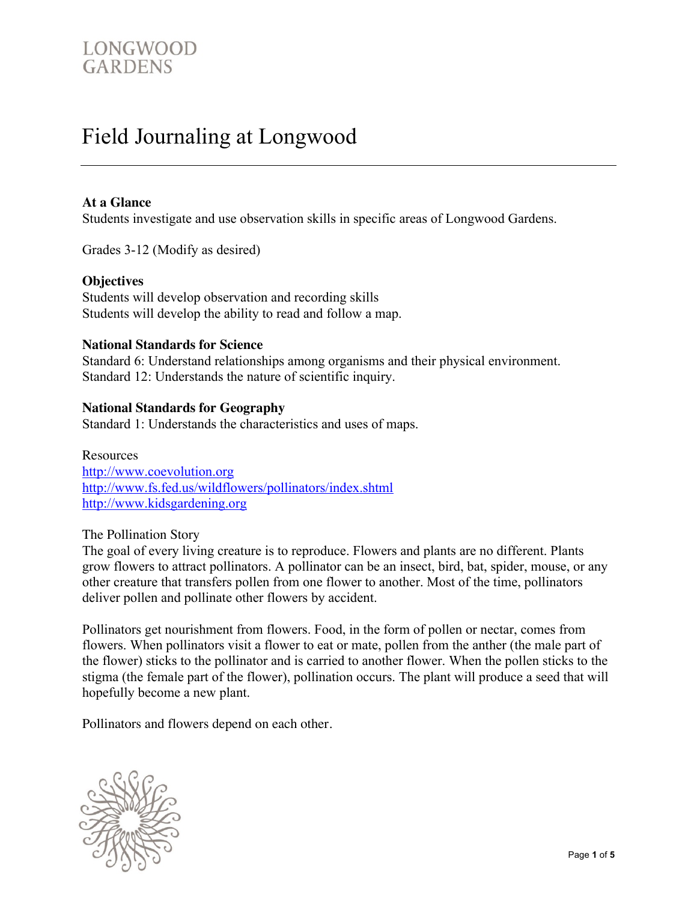# Field Journaling at Longwood

## **At a Glance**

Students investigate and use observation skills in specific areas of Longwood Gardens.

Grades 3-12 (Modify as desired)

### **Objectives**

Students will develop observation and recording skills Students will develop the ability to read and follow a map.

### **National Standards for Science**

Standard 6: Understand relationships among organisms and their physical environment. Standard 12: Understands the nature of scientific inquiry.

### **National Standards for Geography**

Standard 1: Understands the characteristics and uses of maps.

Resources http://www.coevolution.org http://www.fs.fed.us/wildflowers/pollinators/index.shtml http://www.kidsgardening.org

The Pollination Story

The goal of every living creature is to reproduce. Flowers and plants are no different. Plants grow flowers to attract pollinators. A pollinator can be an insect, bird, bat, spider, mouse, or any other creature that transfers pollen from one flower to another. Most of the time, pollinators deliver pollen and pollinate other flowers by accident.

Pollinators get nourishment from flowers. Food, in the form of pollen or nectar, comes from flowers. When pollinators visit a flower to eat or mate, pollen from the anther (the male part of the flower) sticks to the pollinator and is carried to another flower. When the pollen sticks to the stigma (the female part of the flower), pollination occurs. The plant will produce a seed that will hopefully become a new plant.

Pollinators and flowers depend on each other.

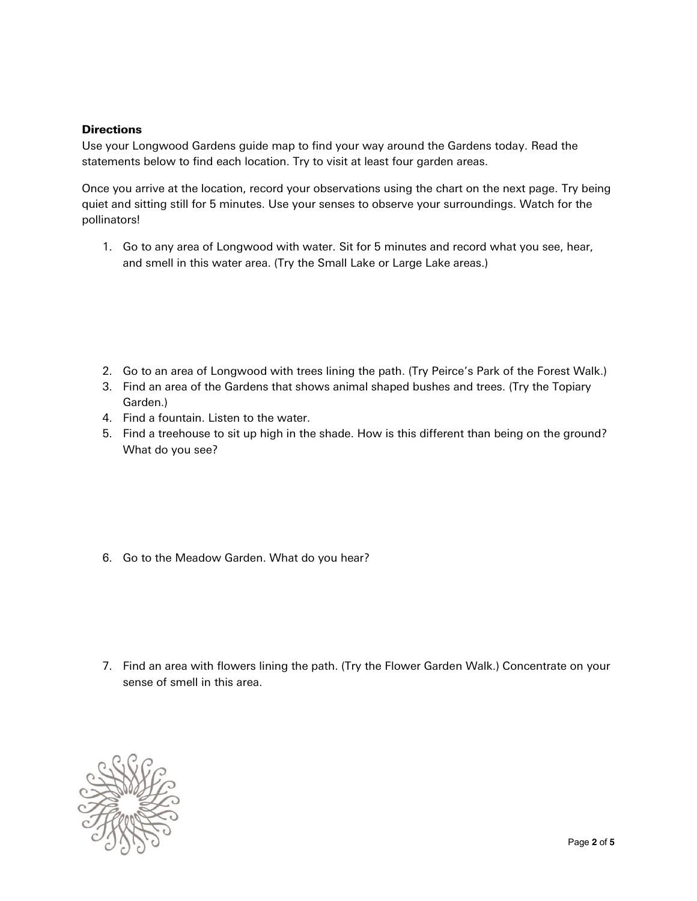#### **Directions**

Use your Longwood Gardens guide map to find your way around the Gardens today. Read the statements below to find each location. Try to visit at least four garden areas.

Once you arrive at the location, record your observations using the chart on the next page. Try being quiet and sitting still for 5 minutes. Use your senses to observe your surroundings. Watch for the pollinators!

1. Go to any area of Longwood with water. Sit for 5 minutes and record what you see, hear, and smell in this water area. (Try the Small Lake or Large Lake areas.)

- 2. Go to an area of Longwood with trees lining the path. (Try Peirce's Park of the Forest Walk.)
- 3. Find an area of the Gardens that shows animal shaped bushes and trees. (Try the Topiary Garden.)
- 4. Find a fountain. Listen to the water.
- 5. Find a treehouse to sit up high in the shade. How is this different than being on the ground? What do you see?

6. Go to the Meadow Garden. What do you hear?

7. Find an area with flowers lining the path. (Try the Flower Garden Walk.) Concentrate on your sense of smell in this area.

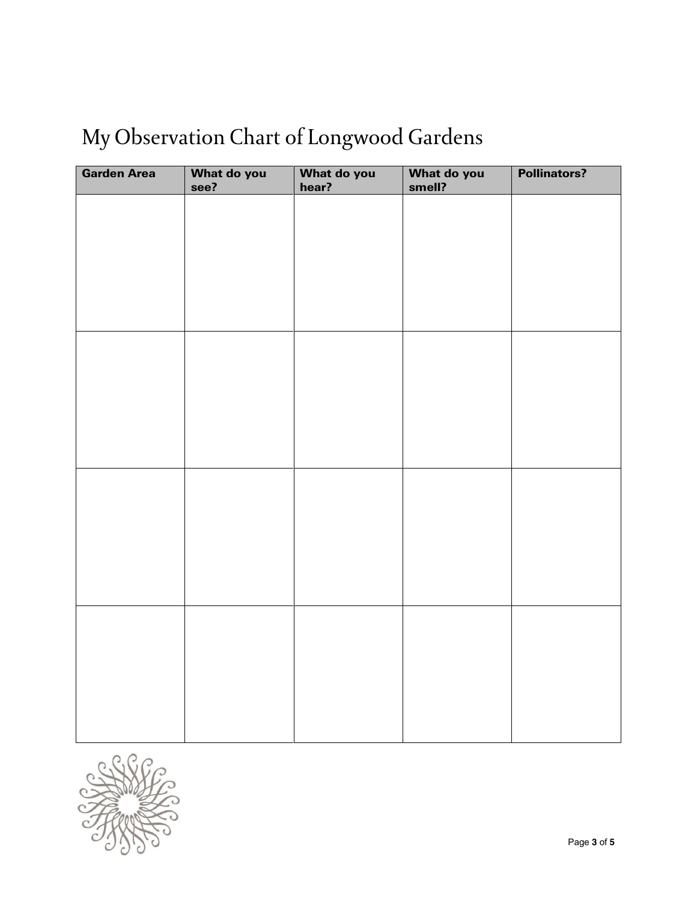# My Observation Chart of Longwood Gardens

| <b>Garden Area</b> | What do you<br>see? | What do you<br>hear? | What do you<br>smell? | <b>Pollinators?</b> |
|--------------------|---------------------|----------------------|-----------------------|---------------------|
|                    |                     |                      |                       |                     |
|                    |                     |                      |                       |                     |
|                    |                     |                      |                       |                     |
|                    |                     |                      |                       |                     |
|                    |                     |                      |                       |                     |
|                    |                     |                      |                       |                     |
|                    |                     |                      |                       |                     |
|                    |                     |                      |                       |                     |
|                    |                     |                      |                       |                     |
|                    |                     |                      |                       |                     |
|                    |                     |                      |                       |                     |
|                    |                     |                      |                       |                     |
|                    |                     |                      |                       |                     |
|                    |                     |                      |                       |                     |
|                    |                     |                      |                       |                     |
|                    |                     |                      |                       |                     |
|                    |                     |                      |                       |                     |
|                    |                     |                      |                       |                     |
|                    |                     |                      |                       |                     |
|                    |                     |                      |                       |                     |

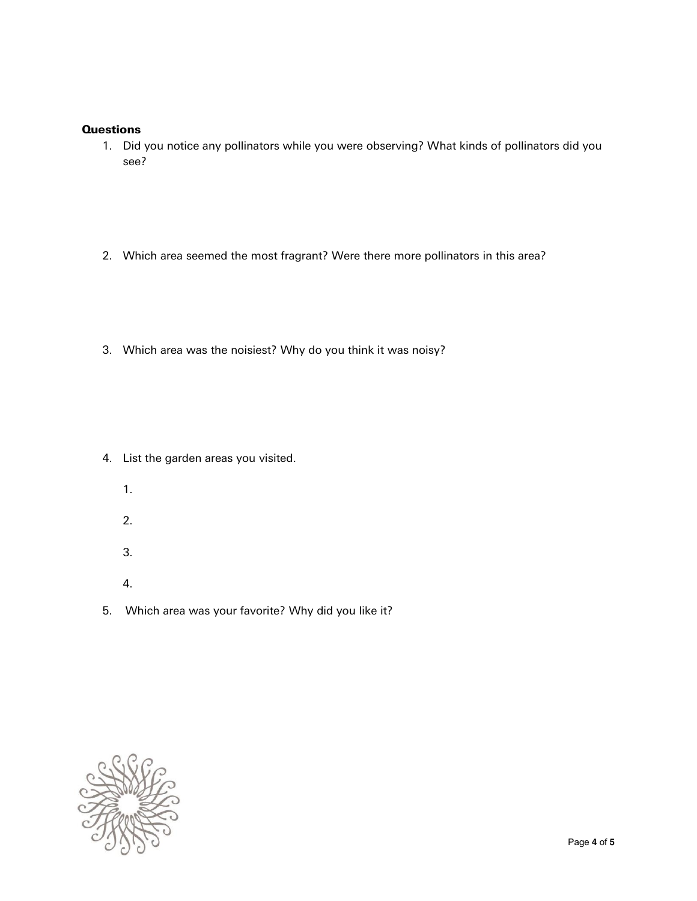#### **Questions**

- 1. Did you notice any pollinators while you were observing? What kinds of pollinators did you see?
- 2. Which area seemed the most fragrant? Were there more pollinators in this area?
- 3. Which area was the noisiest? Why do you think it was noisy?

- 4. List the garden areas you visited.
	- 1.
	- 2.
	- 3.
	- 4.
- 5. Which area was your favorite? Why did you like it?